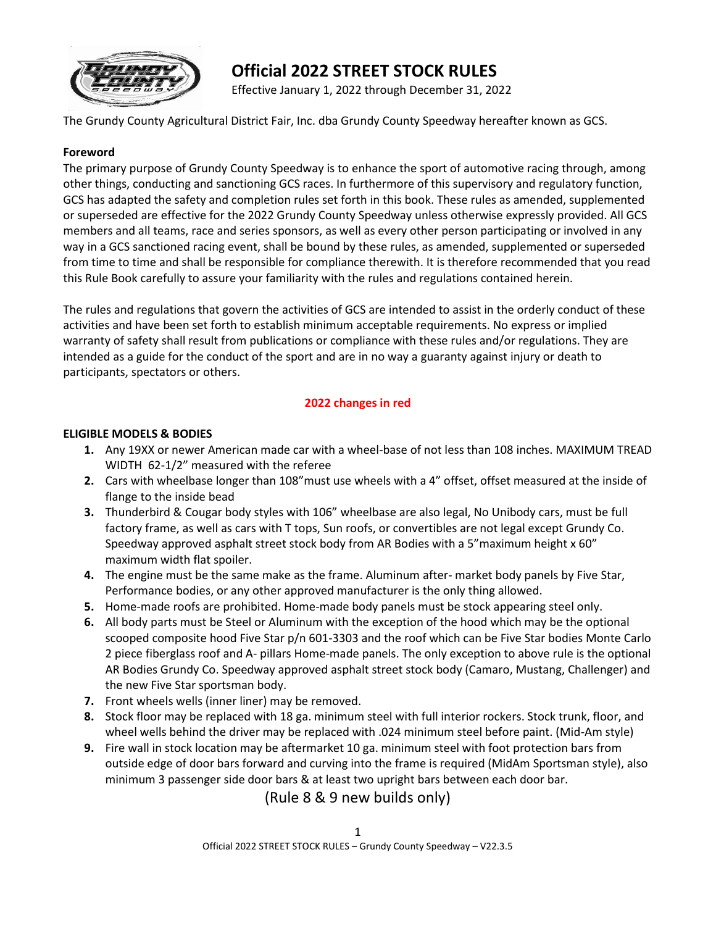

# **Official 2022 STREET STOCK RULES**

Effective January 1, 2022 through December 31, 2022

The Grundy County Agricultural District Fair, Inc. dba Grundy County Speedway hereafter known as GCS.

#### **Foreword**

The primary purpose of Grundy County Speedway is to enhance the sport of automotive racing through, among other things, conducting and sanctioning GCS races. In furthermore of this supervisory and regulatory function, GCS has adapted the safety and completion rules set forth in this book. These rules as amended, supplemented or superseded are effective for the 2022 Grundy County Speedway unless otherwise expressly provided. All GCS members and all teams, race and series sponsors, as well as every other person participating or involved in any way in a GCS sanctioned racing event, shall be bound by these rules, as amended, supplemented or superseded from time to time and shall be responsible for compliance therewith. It is therefore recommended that you read this Rule Book carefully to assure your familiarity with the rules and regulations contained herein.

The rules and regulations that govern the activities of GCS are intended to assist in the orderly conduct of these activities and have been set forth to establish minimum acceptable requirements. No express or implied warranty of safety shall result from publications or compliance with these rules and/or regulations. They are intended as a guide for the conduct of the sport and are in no way a guaranty against injury or death to participants, spectators or others.

# **2022 changes in red**

#### **ELIGIBLE MODELS & BODIES**

- **1.** Any 19XX or newer American made car with a wheel-base of not less than 108 inches. MAXIMUM TREAD WIDTH 62-1/2" measured with the referee
- **2.** Cars with wheelbase longer than 108"must use wheels with a 4" offset, offset measured at the inside of flange to the inside bead
- **3.** Thunderbird & Cougar body styles with 106" wheelbase are also legal, No Unibody cars, must be full factory frame, as well as cars with T tops, Sun roofs, or convertibles are not legal except Grundy Co. Speedway approved asphalt street stock body from AR Bodies with a 5"maximum height x 60" maximum width flat spoiler.
- **4.** The engine must be the same make as the frame. Aluminum after- market body panels by Five Star, Performance bodies, or any other approved manufacturer is the only thing allowed.
- **5.** Home-made roofs are prohibited. Home-made body panels must be stock appearing steel only.
- **6.** All body parts must be Steel or Aluminum with the exception of the hood which may be the optional scooped composite hood Five Star p/n 601-3303 and the roof which can be Five Star bodies Monte Carlo 2 piece fiberglass roof and A- pillars Home-made panels. The only exception to above rule is the optional AR Bodies Grundy Co. Speedway approved asphalt street stock body (Camaro, Mustang, Challenger) and the new Five Star sportsman body.
- **7.** Front wheels wells (inner liner) may be removed.
- **8.** Stock floor may be replaced with 18 ga. minimum steel with full interior rockers. Stock trunk, floor, and wheel wells behind the driver may be replaced with .024 minimum steel before paint. (Mid-Am style)
- **9.** Fire wall in stock location may be aftermarket 10 ga. minimum steel with foot protection bars from outside edge of door bars forward and curving into the frame is required (MidAm Sportsman style), also minimum 3 passenger side door bars & at least two upright bars between each door bar.

# (Rule 8 & 9 new builds only)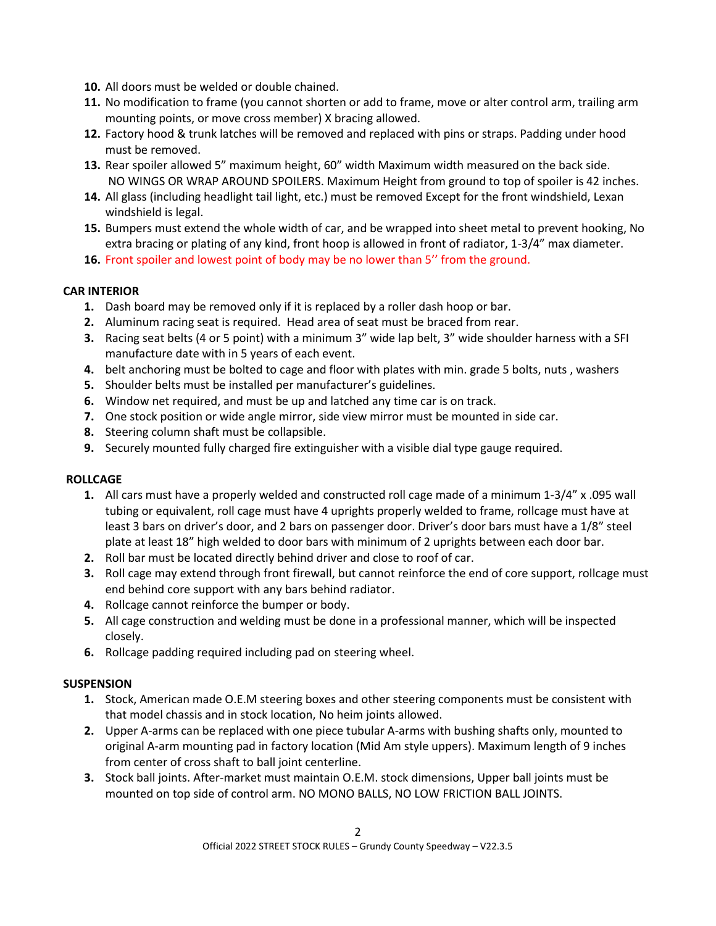- **10.** All doors must be welded or double chained.
- **11.** No modification to frame (you cannot shorten or add to frame, move or alter control arm, trailing arm mounting points, or move cross member) X bracing allowed.
- **12.** Factory hood & trunk latches will be removed and replaced with pins or straps. Padding under hood must be removed.
- **13.** Rear spoiler allowed 5" maximum height, 60" width Maximum width measured on the back side. NO WINGS OR WRAP AROUND SPOILERS. Maximum Height from ground to top of spoiler is 42 inches.
- **14.** All glass (including headlight tail light, etc.) must be removed Except for the front windshield, Lexan windshield is legal.
- **15.** Bumpers must extend the whole width of car, and be wrapped into sheet metal to prevent hooking, No extra bracing or plating of any kind, front hoop is allowed in front of radiator, 1-3/4" max diameter.
- **16.** Front spoiler and lowest point of body may be no lower than 5'' from the ground.

# **CAR INTERIOR**

- **1.** Dash board may be removed only if it is replaced by a roller dash hoop or bar.
- **2.** Aluminum racing seat is required. Head area of seat must be braced from rear.
- **3.** Racing seat belts (4 or 5 point) with a minimum 3" wide lap belt, 3" wide shoulder harness with a SFI manufacture date with in 5 years of each event.
- **4.** belt anchoring must be bolted to cage and floor with plates with min. grade 5 bolts, nuts , washers
- **5.** Shoulder belts must be installed per manufacturer's guidelines.
- **6.** Window net required, and must be up and latched any time car is on track.
- **7.** One stock position or wide angle mirror, side view mirror must be mounted in side car.
- **8.** Steering column shaft must be collapsible.
- **9.** Securely mounted fully charged fire extinguisher with a visible dial type gauge required.

# **ROLLCAGE**

- **1.** All cars must have a properly welded and constructed roll cage made of a minimum 1-3/4" x .095 wall tubing or equivalent, roll cage must have 4 uprights properly welded to frame, rollcage must have at least 3 bars on driver's door, and 2 bars on passenger door. Driver's door bars must have a 1/8" steel plate at least 18" high welded to door bars with minimum of 2 uprights between each door bar.
- **2.** Roll bar must be located directly behind driver and close to roof of car.
- **3.** Roll cage may extend through front firewall, but cannot reinforce the end of core support, rollcage must end behind core support with any bars behind radiator.
- **4.** Rollcage cannot reinforce the bumper or body.
- **5.** All cage construction and welding must be done in a professional manner, which will be inspected closely.
- **6.** Rollcage padding required including pad on steering wheel.

# **SUSPENSION**

- **1.** Stock, American made O.E.M steering boxes and other steering components must be consistent with that model chassis and in stock location, No heim joints allowed.
- **2.** Upper A-arms can be replaced with one piece tubular A-arms with bushing shafts only, mounted to original A-arm mounting pad in factory location (Mid Am style uppers). Maximum length of 9 inches from center of cross shaft to ball joint centerline.
- **3.** Stock ball joints. After-market must maintain O.E.M. stock dimensions, Upper ball joints must be mounted on top side of control arm. NO MONO BALLS, NO LOW FRICTION BALL JOINTS.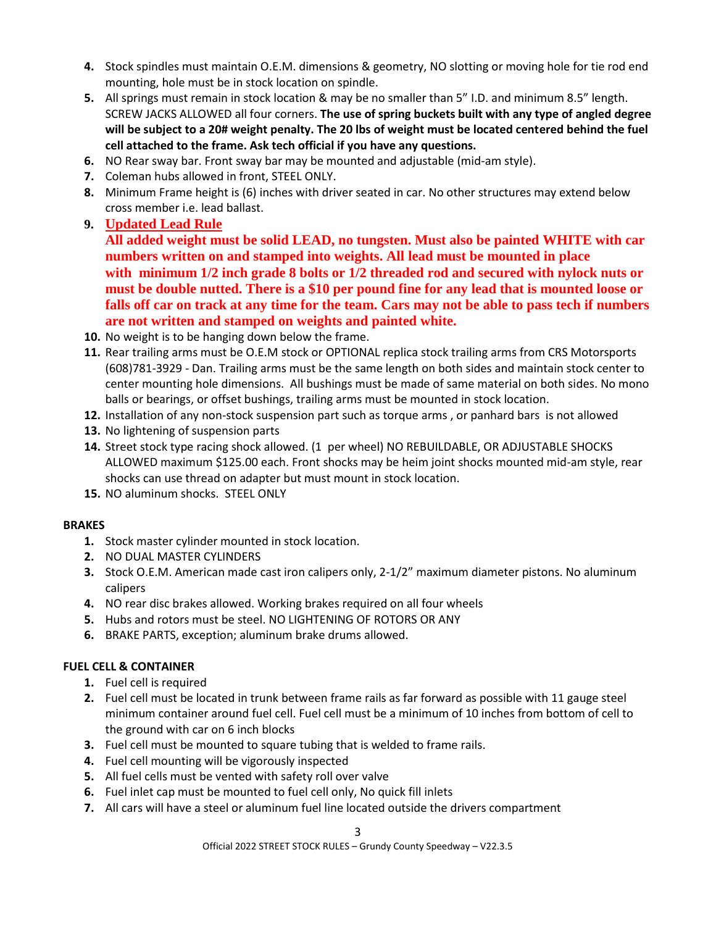- **4.** Stock spindles must maintain O.E.M. dimensions & geometry, NO slotting or moving hole for tie rod end mounting, hole must be in stock location on spindle.
- **5.** All springs must remain in stock location & may be no smaller than 5" I.D. and minimum 8.5" length. SCREW JACKS ALLOWED all four corners. **The use of spring buckets built with any type of angled degree will be subject to a 20# weight penalty. The 20 lbs of weight must be located centered behind the fuel cell attached to the frame. Ask tech official if you have any questions.**
- **6.** NO Rear sway bar. Front sway bar may be mounted and adjustable (mid-am style).
- **7.** Coleman hubs allowed in front, STEEL ONLY.
- **8.** Minimum Frame height is (6) inches with driver seated in car. No other structures may extend below cross member i.e. lead ballast.
- **9. Updated Lead Rule**

**All added weight must be solid LEAD, no tungsten. Must also be painted WHITE with car numbers written on and stamped into weights. All lead must be mounted in place with minimum 1/2 inch grade 8 bolts or 1/2 threaded rod and secured with nylock nuts or must be double nutted. There is a \$10 per pound fine for any lead that is mounted loose or falls off car on track at any time for the team. Cars may not be able to pass tech if numbers are not written and stamped on weights and painted white.**

- **10.** No weight is to be hanging down below the frame.
- **11.** Rear trailing arms must be O.E.M stock or OPTIONAL replica stock trailing arms from CRS Motorsports (608)781-3929 - Dan. Trailing arms must be the same length on both sides and maintain stock center to center mounting hole dimensions. All bushings must be made of same material on both sides. No mono balls or bearings, or offset bushings, trailing arms must be mounted in stock location.
- **12.** Installation of any non-stock suspension part such as torque arms , or panhard bars is not allowed
- **13.** No lightening of suspension parts
- **14.** Street stock type racing shock allowed. (1 per wheel) NO REBUILDABLE, OR ADJUSTABLE SHOCKS ALLOWED maximum \$125.00 each. Front shocks may be heim joint shocks mounted mid-am style, rear shocks can use thread on adapter but must mount in stock location.
- **15.** NO aluminum shocks. STEEL ONLY

#### **BRAKES**

- **1.** Stock master cylinder mounted in stock location.
- **2.** NO DUAL MASTER CYLINDERS
- **3.** Stock O.E.M. American made cast iron calipers only, 2-1/2" maximum diameter pistons. No aluminum calipers
- **4.** NO rear disc brakes allowed. Working brakes required on all four wheels
- **5.** Hubs and rotors must be steel. NO LIGHTENING OF ROTORS OR ANY
- **6.** BRAKE PARTS, exception; aluminum brake drums allowed.

#### **FUEL CELL & CONTAINER**

- **1.** Fuel cell is required
- **2.** Fuel cell must be located in trunk between frame rails as far forward as possible with 11 gauge steel minimum container around fuel cell. Fuel cell must be a minimum of 10 inches from bottom of cell to the ground with car on 6 inch blocks
- **3.** Fuel cell must be mounted to square tubing that is welded to frame rails.
- **4.** Fuel cell mounting will be vigorously inspected
- **5.** All fuel cells must be vented with safety roll over valve
- **6.** Fuel inlet cap must be mounted to fuel cell only, No quick fill inlets
- **7.** All cars will have a steel or aluminum fuel line located outside the drivers compartment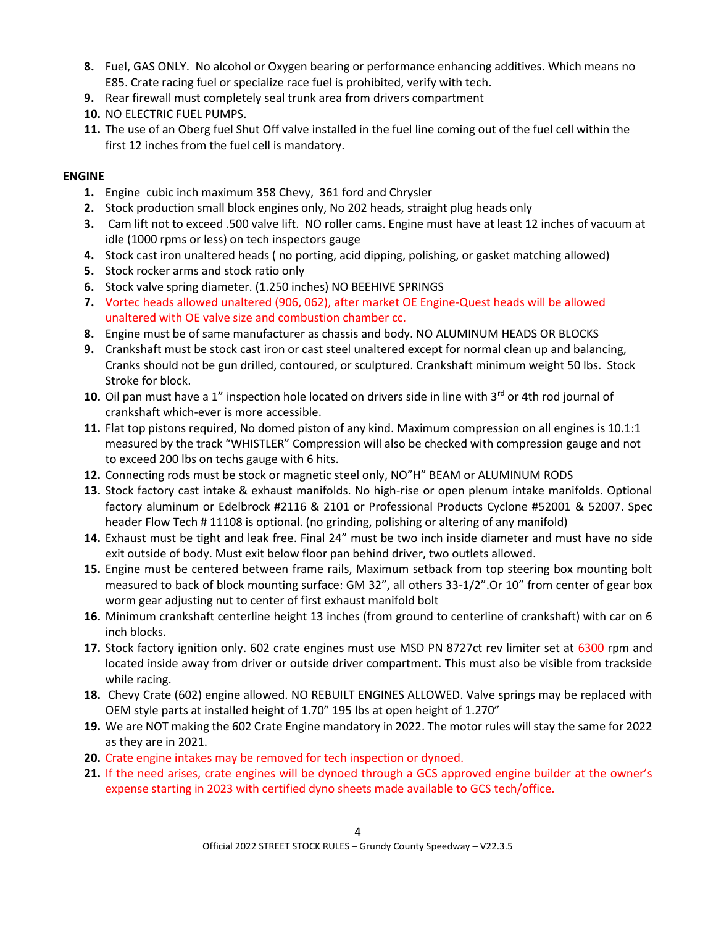- **8.** Fuel, GAS ONLY. No alcohol or Oxygen bearing or performance enhancing additives. Which means no E85. Crate racing fuel or specialize race fuel is prohibited, verify with tech.
- **9.** Rear firewall must completely seal trunk area from drivers compartment
- **10.** NO ELECTRIC FUEL PUMPS.
- **11.** The use of an Oberg fuel Shut Off valve installed in the fuel line coming out of the fuel cell within the first 12 inches from the fuel cell is mandatory.

### **ENGINE**

- **1.** Engine cubic inch maximum 358 Chevy, 361 ford and Chrysler
- **2.** Stock production small block engines only, No 202 heads, straight plug heads only
- **3.** Cam lift not to exceed .500 valve lift. NO roller cams. Engine must have at least 12 inches of vacuum at idle (1000 rpms or less) on tech inspectors gauge
- **4.** Stock cast iron unaltered heads ( no porting, acid dipping, polishing, or gasket matching allowed)
- **5.** Stock rocker arms and stock ratio only
- **6.** Stock valve spring diameter. (1.250 inches) NO BEEHIVE SPRINGS
- **7.** Vortec heads allowed unaltered (906, 062), after market OE Engine-Quest heads will be allowed unaltered with OE valve size and combustion chamber cc.
- **8.** Engine must be of same manufacturer as chassis and body. NO ALUMINUM HEADS OR BLOCKS
- **9.** Crankshaft must be stock cast iron or cast steel unaltered except for normal clean up and balancing, Cranks should not be gun drilled, contoured, or sculptured. Crankshaft minimum weight 50 lbs. Stock Stroke for block.
- **10.** Oil pan must have a 1" inspection hole located on drivers side in line with 3<sup>rd</sup> or 4th rod journal of crankshaft which-ever is more accessible.
- **11.** Flat top pistons required, No domed piston of any kind. Maximum compression on all engines is 10.1:1 measured by the track "WHISTLER" Compression will also be checked with compression gauge and not to exceed 200 lbs on techs gauge with 6 hits.
- **12.** Connecting rods must be stock or magnetic steel only, NO"H" BEAM or ALUMINUM RODS
- **13.** Stock factory cast intake & exhaust manifolds. No high-rise or open plenum intake manifolds. Optional factory aluminum or Edelbrock #2116 & 2101 or Professional Products Cyclone #52001 & 52007. Spec header Flow Tech # 11108 is optional. (no grinding, polishing or altering of any manifold)
- **14.** Exhaust must be tight and leak free. Final 24" must be two inch inside diameter and must have no side exit outside of body. Must exit below floor pan behind driver, two outlets allowed.
- **15.** Engine must be centered between frame rails, Maximum setback from top steering box mounting bolt measured to back of block mounting surface: GM 32", all others 33-1/2".Or 10" from center of gear box worm gear adjusting nut to center of first exhaust manifold bolt
- **16.** Minimum crankshaft centerline height 13 inches (from ground to centerline of crankshaft) with car on 6 inch blocks.
- **17.** Stock factory ignition only. 602 crate engines must use MSD PN 8727ct rev limiter set at 6300 rpm and located inside away from driver or outside driver compartment. This must also be visible from trackside while racing.
- **18.** Chevy Crate (602) engine allowed. NO REBUILT ENGINES ALLOWED. Valve springs may be replaced with OEM style parts at installed height of 1.70" 195 lbs at open height of 1.270"
- **19.** We are NOT making the 602 Crate Engine mandatory in 2022. The motor rules will stay the same for 2022 as they are in 2021.
- **20.** Crate engine intakes may be removed for tech inspection or dynoed.
- **21.** If the need arises, crate engines will be dynoed through a GCS approved engine builder at the owner's expense starting in 2023 with certified dyno sheets made available to GCS tech/office.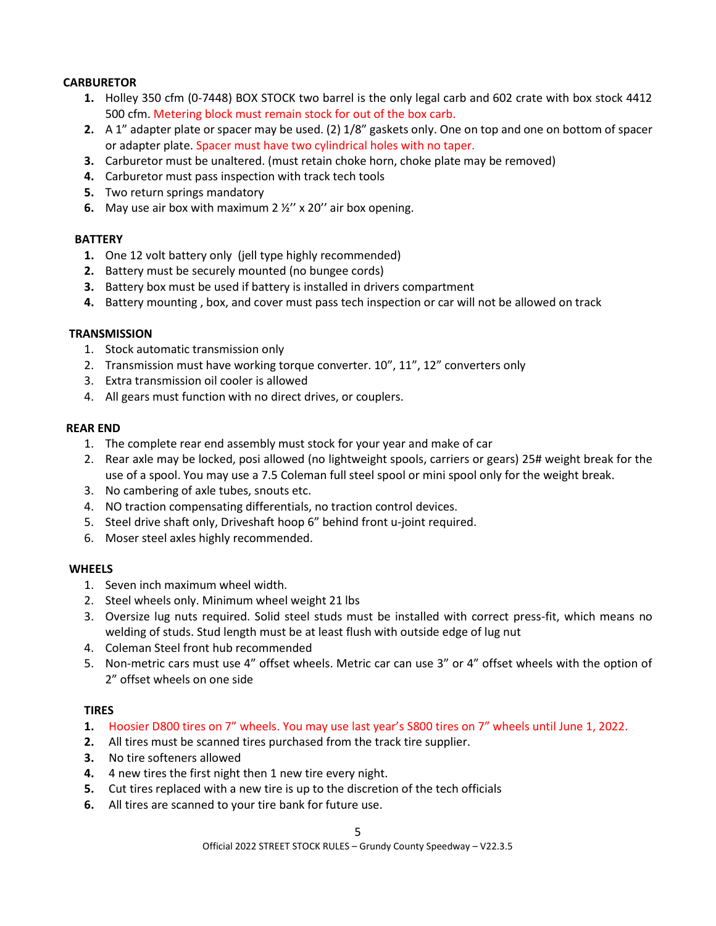#### **CARBURETOR**

- **1.** Holley 350 cfm (0-7448) BOX STOCK two barrel is the only legal carb and 602 crate with box stock 4412 500 cfm. Metering block must remain stock for out of the box carb.
- **2.** A 1" adapter plate or spacer may be used. (2) 1/8" gaskets only. One on top and one on bottom of spacer or adapter plate. Spacer must have two cylindrical holes with no taper.
- **3.** Carburetor must be unaltered. (must retain choke horn, choke plate may be removed)
- **4.** Carburetor must pass inspection with track tech tools
- **5.** Two return springs mandatory
- **6.** May use air box with maximum 2 ½'' x 20'' air box opening.

#### **BATTERY**

- **1.** One 12 volt battery only (jell type highly recommended)
- **2.** Battery must be securely mounted (no bungee cords)
- **3.** Battery box must be used if battery is installed in drivers compartment
- **4.** Battery mounting , box, and cover must pass tech inspection or car will not be allowed on track

#### **TRANSMISSION**

- 1. Stock automatic transmission only
- 2. Transmission must have working torque converter. 10", 11", 12" converters only
- 3. Extra transmission oil cooler is allowed
- 4. All gears must function with no direct drives, or couplers.

#### **REAR END**

- 1. The complete rear end assembly must stock for your year and make of car
- 2. Rear axle may be locked, posi allowed (no lightweight spools, carriers or gears) 25# weight break for the use of a spool. You may use a 7.5 Coleman full steel spool or mini spool only for the weight break.
- 3. No cambering of axle tubes, snouts etc.
- 4. NO traction compensating differentials, no traction control devices.
- 5. Steel drive shaft only, Driveshaft hoop 6" behind front u-joint required.
- 6. Moser steel axles highly recommended.

#### **WHEELS**

- 1. Seven inch maximum wheel width.
- 2. Steel wheels only. Minimum wheel weight 21 lbs
- 3. Oversize lug nuts required. Solid steel studs must be installed with correct press-fit, which means no welding of studs. Stud length must be at least flush with outside edge of lug nut
- 4. Coleman Steel front hub recommended
- 5. Non-metric cars must use 4" offset wheels. Metric car can use 3" or 4" offset wheels with the option of 2" offset wheels on one side

#### **TIRES**

- **1.** Hoosier D800 tires on 7" wheels. You may use last year's S800 tires on 7" wheels until June 1, 2022.
- **2.** All tires must be scanned tires purchased from the track tire supplier.
- **3.** No tire softeners allowed
- **4.** 4 new tires the first night then 1 new tire every night.
- **5.** Cut tires replaced with a new tire is up to the discretion of the tech officials
- **6.** All tires are scanned to your tire bank for future use.